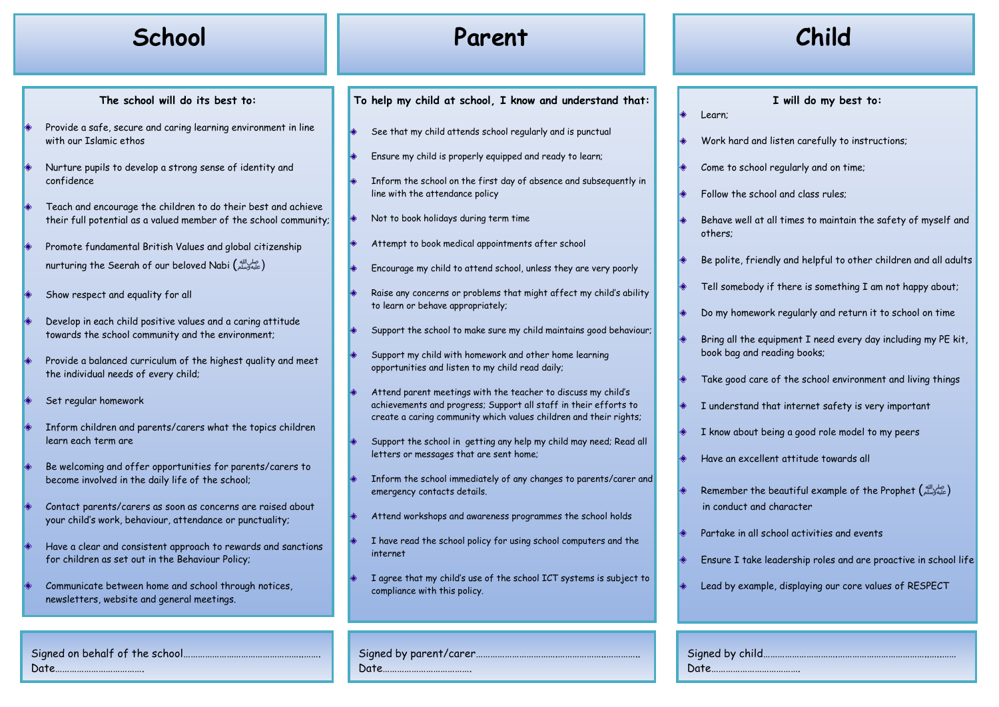# **School Parent Child**

#### **The school will do its best to:**

- Provide a safe, secure and caring learning environment in line with our Islamic ethos
- Nurture pupils to develop a strong sense of identity and confidence
- Teach and encourage the children to do their best and achieve their full potential as a valued member of the school community;
- Promote fundamental British Values and global citizenship nurturing the Seerah of our beloved Nabi (صلى الله عليه وسلم(
- Show respect and equality for all
- Develop in each child positive values and a caring attitude towards the school community and the environment;
- Provide a balanced curriculum of the highest quality and meet the individual needs of every child;
- Set regular homework
- Inform children and parents/carers what the topics children learn each term are
- Be welcoming and offer opportunities for parents/carers to become involved in the daily life of the school;
- Contact parents/carers as soon as concerns are raised about your child's work, behaviour, attendance or punctuality;
- Have a clear and consistent approach to rewards and sanctions for children as set out in the Behaviour Policy;
- Communicate between home and school through notices, newsletters, website and general meetings.

#### **To help my child at school, I know and understand that:**

- See that my child attends school regularly and is punctual
- Ensure my child is properly equipped and ready to learn;
- Inform the school on the first day of absence and subsequently in line with the attendance policy
- Not to book holidays during term time
- Attempt to book medical appointments after school
- Encourage my child to attend school, unless they are very poorly
- Raise any concerns or problems that might affect my child's ability to learn or behave appropriately;
- Support the school to make sure my child maintains good behaviour;
- Support my child with homework and other home learning opportunities and listen to my child read daily;
- Attend parent meetings with the teacher to discuss my child's achievements and progress; Support all staff in their efforts to create a caring community which values children and their rights;
- Support the school in getting any help my child may need; Read all letters or messages that are sent home;
- Inform the school immediately of any changes to parents/carer and emergency contacts details.
- Attend workshops and awareness programmes the school holds
- I have read the school policy for using school computers and the internet
- I agree that my child's use of the school ICT systems is subject to compliance with this policy.

Signed by parent/carer…………………………….………………..…………..

Date……………………………….

- **I will do my best to:**
- Learn;
- Work hard and listen carefully to instructions;
- Come to school regularly and on time;
- Follow the school and class rules;
- Behave well at all times to maintain the safety of myself and others;
- Be polite, friendly and helpful to other children and all adults
- Tell somebody if there is something I am not happy about;
- Do my homework regularly and return it to school on time
- Bring all the equipment I need every day including my PE kit, book bag and reading books;
- Take good care of the school environment and living things
- I understand that internet safety is very important
- I know about being a good role model to my peers
- Have an excellent attitude towards all
- Remember the beautiful example of the Prophet (صلى الله عليه وسلم( in conduct and character
- Partake in all school activities and events
- Ensure I take leadership roles and are proactive in school life
- Lead by example, displaying our core values of RESPECT